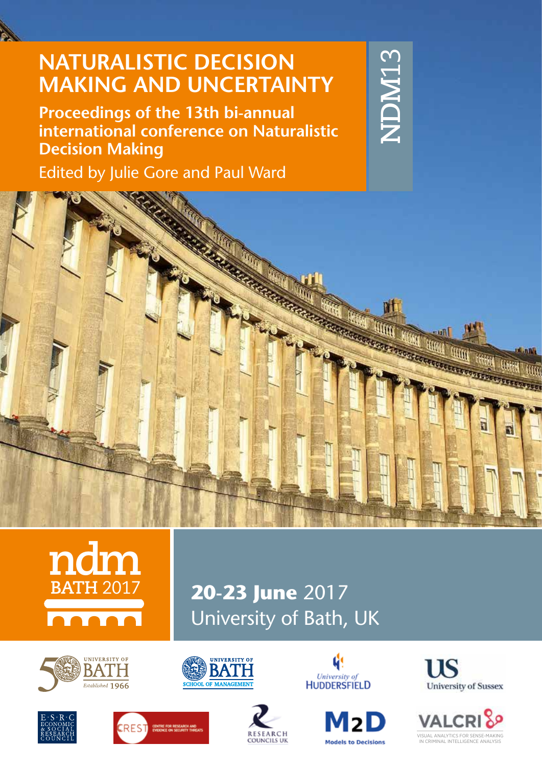# **NATURALISTIC DECISION MAKING AND UNCERTAINTY**

**Proceedings of the 13th bi-annual international conference on Naturalistic Decision Making**

Edited by Julie Gore and Paul Ward







**20-23 June** 2017 University of Bath, UK













**VISUAL ANALYTICS FOR SENSE-MAKI** AINALI IIUS FUR SEINSETHANII)<br>4INAL INTELLIGENCE ANALYSI!

**VALCRI** 





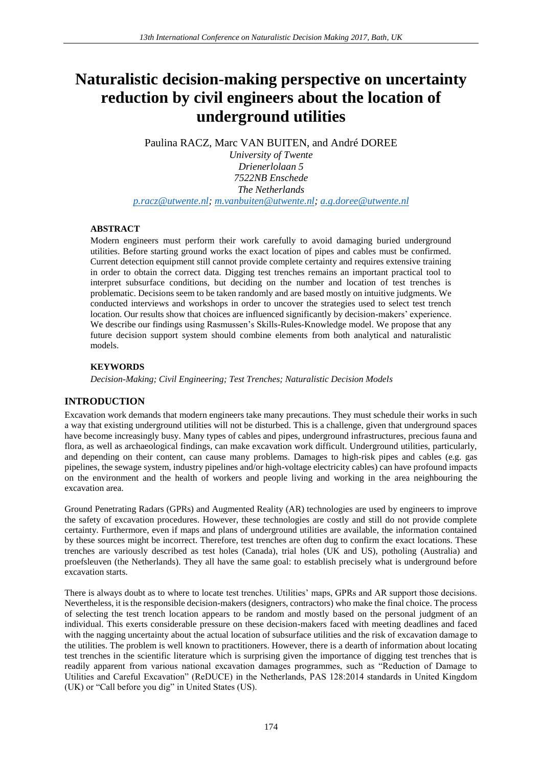# **Naturalistic decision-making perspective on uncertainty reduction by civil engineers about the location of underground utilities**

Paulina RACZ, Marc VAN BUITEN, and André DOREE

*University of Twente Drienerlolaan 5 7522NB Enschede The Netherlands [p.racz@utwente.nl;](mailto:p.racz@utwente.nl) [m.vanbuiten@utwente.nl;](mailto:m.vanbuiten@utwente.nl) [a.g.doree@utwente.nl](mailto:a.g.doree@utwente.nl)*

### **ABSTRACT**

Modern engineers must perform their work carefully to avoid damaging buried underground utilities. Before starting ground works the exact location of pipes and cables must be confirmed. Current detection equipment still cannot provide complete certainty and requires extensive training in order to obtain the correct data. Digging test trenches remains an important practical tool to interpret subsurface conditions, but deciding on the number and location of test trenches is problematic. Decisions seem to be taken randomly and are based mostly on intuitive judgments. We conducted interviews and workshops in order to uncover the strategies used to select test trench location. Our results show that choices are influenced significantly by decision-makers' experience. We describe our findings using Rasmussen's Skills-Rules-Knowledge model. We propose that any future decision support system should combine elements from both analytical and naturalistic models.

# **KEYWORDS**

*Decision-Making; Civil Engineering; Test Trenches; Naturalistic Decision Models*

# **INTRODUCTION**

Excavation work demands that modern engineers take many precautions. They must schedule their works in such a way that existing underground utilities will not be disturbed. This is a challenge, given that underground spaces have become increasingly busy. Many types of cables and pipes, underground infrastructures, precious fauna and flora, as well as archaeological findings, can make excavation work difficult. Underground utilities, particularly, and depending on their content, can cause many problems. Damages to high-risk pipes and cables (e.g. gas pipelines, the sewage system, industry pipelines and/or high-voltage electricity cables) can have profound impacts on the environment and the health of workers and people living and working in the area neighbouring the excavation area.

Ground Penetrating Radars (GPRs) and Augmented Reality (AR) technologies are used by engineers to improve the safety of excavation procedures. However, these technologies are costly and still do not provide complete certainty. Furthermore, even if maps and plans of underground utilities are available, the information contained by these sources might be incorrect. Therefore, test trenches are often dug to confirm the exact locations. These trenches are variously described as test holes (Canada), trial holes (UK and US), potholing (Australia) and proefsleuven (the Netherlands). They all have the same goal: to establish precisely what is underground before excavation starts.

There is always doubt as to where to locate test trenches. Utilities' maps, GPRs and AR support those decisions. Nevertheless, it is the responsible decision-makers (designers, contractors) who make the final choice. The process of selecting the test trench location appears to be random and mostly based on the personal judgment of an individual. This exerts considerable pressure on these decision-makers faced with meeting deadlines and faced with the nagging uncertainty about the actual location of subsurface utilities and the risk of excavation damage to the utilities. The problem is well known to practitioners. However, there is a dearth of information about locating test trenches in the scientific literature which is surprising given the importance of digging test trenches that is readily apparent from various national excavation damages programmes, such as "Reduction of Damage to Utilities and Careful Excavation" (ReDUCE) in the Netherlands, PAS 128:2014 standards in United Kingdom (UK) or "Call before you dig" in United States (US).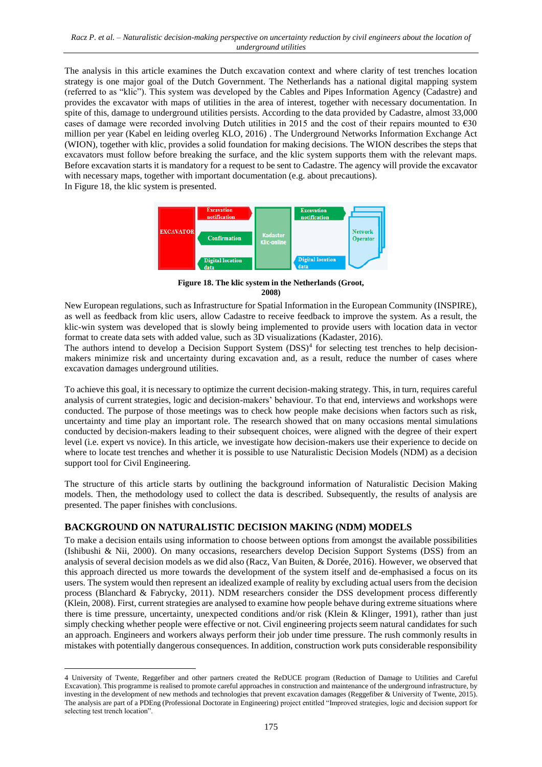The analysis in this article examines the Dutch excavation context and where clarity of test trenches location strategy is one major goal of the Dutch Government. The Netherlands has a national digital mapping system (referred to as "klic"). This system was developed by the Cables and Pipes Information Agency (Cadastre) and provides the excavator with maps of utilities in the area of interest, together with necessary documentation. In spite of this, damage to underground utilities persists. According to the data provided by Cadastre, almost 33,000 cases of damage were recorded involving Dutch utilities in 2015 and the cost of their repairs mounted to  $\epsilon$ 30 million per year (Kabel en leiding overleg KLO, 2016) . The Underground Networks Information Exchange Act (WION), together with klic, provides a solid foundation for making decisions. The WION describes the steps that excavators must follow before breaking the surface, and the klic system supports them with the relevant maps. Before excavation starts it is mandatory for a request to be sent to Cadastre. The agency will provide the excavator with necessary maps, together with important documentation (e.g. about precautions). I[n Figure 18,](#page-2-0) the klic system is presented.



<span id="page-2-0"></span>**Figure 18. The klic system in the Netherlands (Groot, 2008)**

New European regulations, such as Infrastructure for Spatial Information in the European Community (INSPIRE), as well as feedback from klic users, allow Cadastre to receive feedback to improve the system. As a result, the klic-win system was developed that is slowly being implemented to provide users with location data in vector format to create data sets with added value, such as 3D visualizations (Kadaster, 2016).

The authors intend to develop a Decision Support System (DSS)<sup>4</sup> for selecting test trenches to help decisionmakers minimize risk and uncertainty during excavation and, as a result, reduce the number of cases where excavation damages underground utilities.

To achieve this goal, it is necessary to optimize the current decision-making strategy. This, in turn, requires careful analysis of current strategies, logic and decision-makers' behaviour. To that end, interviews and workshops were conducted. The purpose of those meetings was to check how people make decisions when factors such as risk, uncertainty and time play an important role. The research showed that on many occasions mental simulations conducted by decision-makers leading to their subsequent choices, were aligned with the degree of their expert level (i.e. expert vs novice). In this article, we investigate how decision-makers use their experience to decide on where to locate test trenches and whether it is possible to use Naturalistic Decision Models (NDM) as a decision support tool for Civil Engineering.

The structure of this article starts by outlining the background information of Naturalistic Decision Making models. Then, the methodology used to collect the data is described. Subsequently, the results of analysis are presented. The paper finishes with conclusions.

# **BACKGROUND ON NATURALISTIC DECISION MAKING (NDM) MODELS**

 $\overline{a}$ 

To make a decision entails using information to choose between options from amongst the available possibilities (Ishibushi & Nii, 2000). On many occasions, researchers develop Decision Support Systems (DSS) from an analysis of several decision models as we did also (Racz, Van Buiten, & Dorée, 2016). However, we observed that this approach directed us more towards the development of the system itself and de-emphasised a focus on its users. The system would then represent an idealized example of reality by excluding actual users from the decision process (Blanchard & Fabrycky, 2011). NDM researchers consider the DSS development process differently (Klein, 2008). First, current strategies are analysed to examine how people behave during extreme situations where there is time pressure, uncertainty, unexpected conditions and/or risk (Klein & Klinger, 1991), rather than just simply checking whether people were effective or not. Civil engineering projects seem natural candidates for such an approach. Engineers and workers always perform their job under time pressure. The rush commonly results in mistakes with potentially dangerous consequences. In addition, construction work puts considerable responsibility

<sup>4</sup> University of Twente, Reggefiber and other partners created the ReDUCE program (Reduction of Damage to Utilities and Careful Excavation). This programme is realised to promote careful approaches in construction and maintenance of the underground infrastructure, by investing in the development of new methods and technologies that prevent excavation damages (Reggefiber & University of Twente, 2015). The analysis are part of a PDEng (Professional Doctorate in Engineering) project entitled "Improved strategies, logic and decision support for selecting test trench location".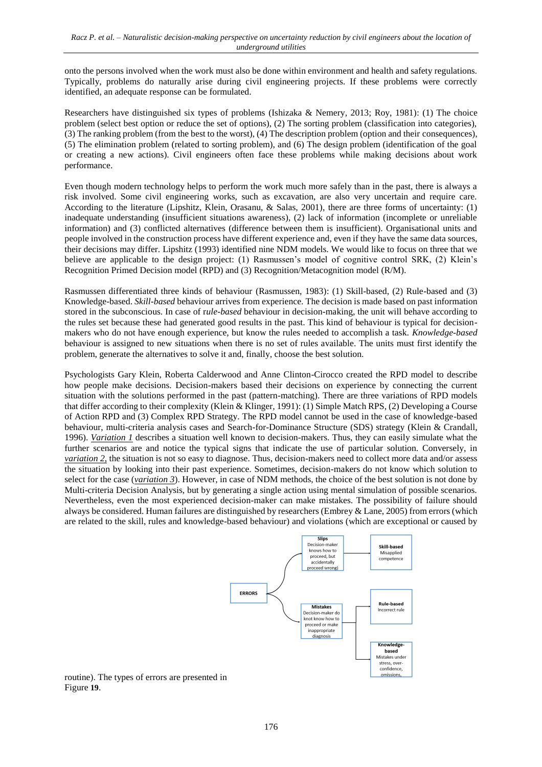onto the persons involved when the work must also be done within environment and health and safety regulations. Typically, problems do naturally arise during civil engineering projects. If these problems were correctly identified, an adequate response can be formulated.

Researchers have distinguished six types of problems (Ishizaka & Nemery, 2013; Roy, 1981): (1) The choice problem (select best option or reduce the set of options), (2) The sorting problem (classification into categories), (3) The ranking problem (from the best to the worst), (4) The description problem (option and their consequences), (5) The elimination problem (related to sorting problem), and (6) The design problem (identification of the goal or creating a new actions). Civil engineers often face these problems while making decisions about work performance.

Even though modern technology helps to perform the work much more safely than in the past, there is always a risk involved. Some civil engineering works, such as excavation, are also very uncertain and require care. According to the literature (Lipshitz, Klein, Orasanu, & Salas, 2001), there are three forms of uncertainty: (1) inadequate understanding (insufficient situations awareness), (2) lack of information (incomplete or unreliable information) and (3) conflicted alternatives (difference between them is insufficient). Organisational units and people involved in the construction process have different experience and, even if they have the same data sources, their decisions may differ. Lipshitz (1993) identified nine NDM models. We would like to focus on three that we believe are applicable to the design project: (1) Rasmussen's model of cognitive control SRK, (2) Klein's Recognition Primed Decision model (RPD) and (3) Recognition/Metacognition model (R/M).

Rasmussen differentiated three kinds of behaviour (Rasmussen, 1983): (1) Skill-based, (2) Rule-based and (3) Knowledge-based. *Skill-based* behaviour arrives from experience. The decision is made based on past information stored in the subconscious. In case of r*ule-based* behaviour in decision-making, the unit will behave according to the rules set because these had generated good results in the past. This kind of behaviour is typical for decisionmakers who do not have enough experience, but know the rules needed to accomplish a task. *Knowledge-based* behaviour is assigned to new situations when there is no set of rules available. The units must first identify the problem, generate the alternatives to solve it and, finally, choose the best solution.

Psychologists Gary Klein, Roberta Calderwood and Anne Clinton-Cirocco created the RPD model to describe how people make decisions. Decision-makers based their decisions on experience by connecting the current situation with the solutions performed in the past (pattern-matching). There are three variations of RPD models that differ according to their complexity (Klein & Klinger, 1991): (1) Simple Match RPS, (2) Developing a Course of Action RPD and (3) Complex RPD Strategy. The RPD model cannot be used in the case of knowledge-based behaviour, multi-criteria analysis cases and Search-for-Dominance Structure (SDS) strategy (Klein & Crandall, 1996). *Variation 1* describes a situation well known to decision-makers. Thus, they can easily simulate what the further scenarios are and notice the typical signs that indicate the use of particular solution. Conversely, in *variation* 2, the situation is not so easy to diagnose. Thus, decision-makers need to collect more data and/or assess the situation by looking into their past experience. Sometimes, decision-makers do not know which solution to select for the case (*variation 3*). However, in case of NDM methods, the choice of the best solution is not done by Multi-criteria Decision Analysis, but by generating a single action using mental simulation of possible scenarios. Nevertheless, even the most experienced decision-maker can make mistakes. The possibility of failure should always be considered. Human failures are distinguished by researchers (Embrey & Lane, 2005) from errors (which are related to the skill, rules and knowledge-based behaviour) and violations (which are exceptional or caused by



routine). The types of errors are presented i[n](#page-4-0)  [Figure](#page-4-0) **19**.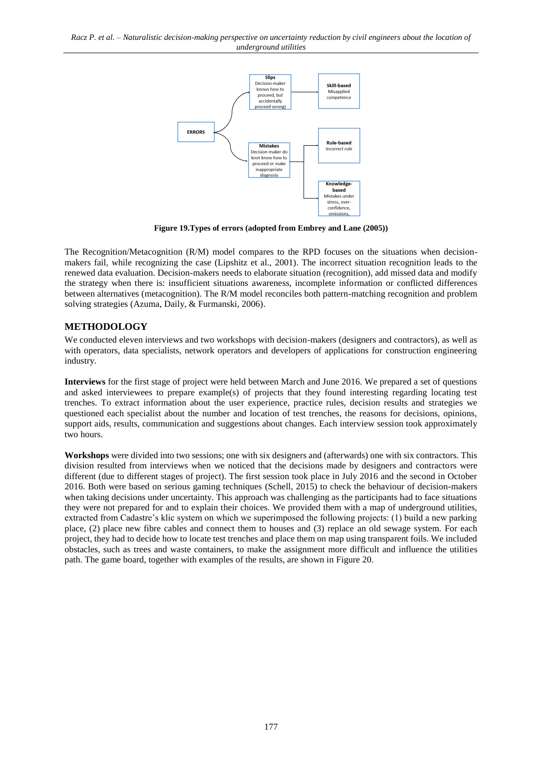<span id="page-4-0"></span>*Racz P. et al. – Naturalistic decision-making perspective on uncertainty reduction by civil engineers about the location of underground utilities*



**Figure 19.Types of errors (adopted from Embrey and Lane (2005))**

The Recognition/Metacognition (R/M) model compares to the RPD focuses on the situations when decisionmakers fail, while recognizing the case (Lipshitz et al., 2001). The incorrect situation recognition leads to the renewed data evaluation. Decision-makers needs to elaborate situation (recognition), add missed data and modify the strategy when there is: insufficient situations awareness, incomplete information or conflicted differences between alternatives (metacognition). The R/M model reconciles both pattern-matching recognition and problem solving strategies (Azuma, Daily, & Furmanski, 2006).

### **METHODOLOGY**

We conducted eleven interviews and two workshops with decision-makers (designers and contractors), as well as with operators, data specialists, network operators and developers of applications for construction engineering industry.

**Interviews** for the first stage of project were held between March and June 2016. We prepared a set of questions and asked interviewees to prepare example(s) of projects that they found interesting regarding locating test trenches. To extract information about the user experience, practice rules, decision results and strategies we questioned each specialist about the number and location of test trenches, the reasons for decisions, opinions, support aids, results, communication and suggestions about changes. Each interview session took approximately two hours.

**Workshops** were divided into two sessions; one with six designers and (afterwards) one with six contractors. This division resulted from interviews when we noticed that the decisions made by designers and contractors were different (due to different stages of project). The first session took place in July 2016 and the second in October 2016. Both were based on serious gaming techniques (Schell, 2015) to check the behaviour of decision-makers when taking decisions under uncertainty. This approach was challenging as the participants had to face situations they were not prepared for and to explain their choices. We provided them with a map of underground utilities, extracted from Cadastre's klic system on which we superimposed the following projects: (1) build a new parking place, (2) place new fibre cables and connect them to houses and (3) replace an old sewage system. For each project, they had to decide how to locate test trenches and place them on map using transparent foils. We included obstacles, such as trees and waste containers, to make the assignment more difficult and influence the utilities path. The game board, together with examples of the results, are shown in [Figure 20.](#page-5-0)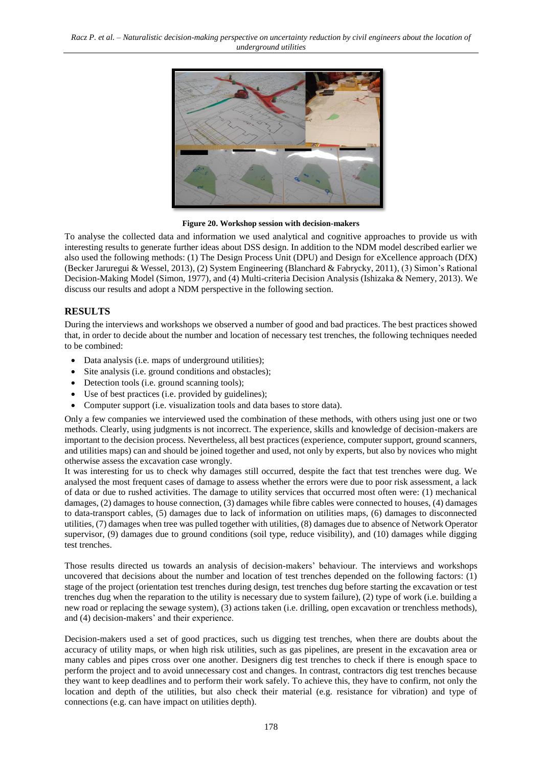

**Figure 20. Workshop session with decision-makers**

<span id="page-5-0"></span>To analyse the collected data and information we used analytical and cognitive approaches to provide us with interesting results to generate further ideas about DSS design. In addition to the NDM model described earlier we also used the following methods: (1) The Design Process Unit (DPU) and Design for eXcellence approach (DfX) (Becker Jaruregui & Wessel, 2013), (2) System Engineering (Blanchard & Fabrycky, 2011), (3) Simon's Rational Decision-Making Model (Simon, 1977), and (4) Multi-criteria Decision Analysis (Ishizaka & Nemery, 2013). We discuss our results and adopt a NDM perspective in the following section.

# **RESULTS**

During the interviews and workshops we observed a number of good and bad practices. The best practices showed that, in order to decide about the number and location of necessary test trenches, the following techniques needed to be combined:

- Data analysis (i.e. maps of underground utilities);
- Site analysis (i.e. ground conditions and obstacles);
- Detection tools (i.e. ground scanning tools);
- Use of best practices (i.e. provided by guidelines);
- Computer support (i.e. visualization tools and data bases to store data).

Only a few companies we interviewed used the combination of these methods, with others using just one or two methods. Clearly, using judgments is not incorrect. The experience, skills and knowledge of decision-makers are important to the decision process. Nevertheless, all best practices (experience, computer support, ground scanners, and utilities maps) can and should be joined together and used, not only by experts, but also by novices who might otherwise assess the excavation case wrongly.

It was interesting for us to check why damages still occurred, despite the fact that test trenches were dug. We analysed the most frequent cases of damage to assess whether the errors were due to poor risk assessment, a lack of data or due to rushed activities. The damage to utility services that occurred most often were: (1) mechanical damages, (2) damages to house connection, (3) damages while fibre cables were connected to houses, (4) damages to data-transport cables, (5) damages due to lack of information on utilities maps, (6) damages to disconnected utilities, (7) damages when tree was pulled together with utilities, (8) damages due to absence of Network Operator supervisor, (9) damages due to ground conditions (soil type, reduce visibility), and (10) damages while digging test trenches.

Those results directed us towards an analysis of decision-makers' behaviour. The interviews and workshops uncovered that decisions about the number and location of test trenches depended on the following factors: (1) stage of the project (orientation test trenches during design, test trenches dug before starting the excavation or test trenches dug when the reparation to the utility is necessary due to system failure), (2) type of work (i.e. building a new road or replacing the sewage system), (3) actions taken (i.e. drilling, open excavation or trenchless methods), and (4) decision-makers' and their experience.

Decision-makers used a set of good practices, such us digging test trenches, when there are doubts about the accuracy of utility maps, or when high risk utilities, such as gas pipelines, are present in the excavation area or many cables and pipes cross over one another. Designers dig test trenches to check if there is enough space to perform the project and to avoid unnecessary cost and changes. In contrast, contractors dig test trenches because they want to keep deadlines and to perform their work safely. To achieve this, they have to confirm, not only the location and depth of the utilities, but also check their material (e.g. resistance for vibration) and type of connections (e.g. can have impact on utilities depth).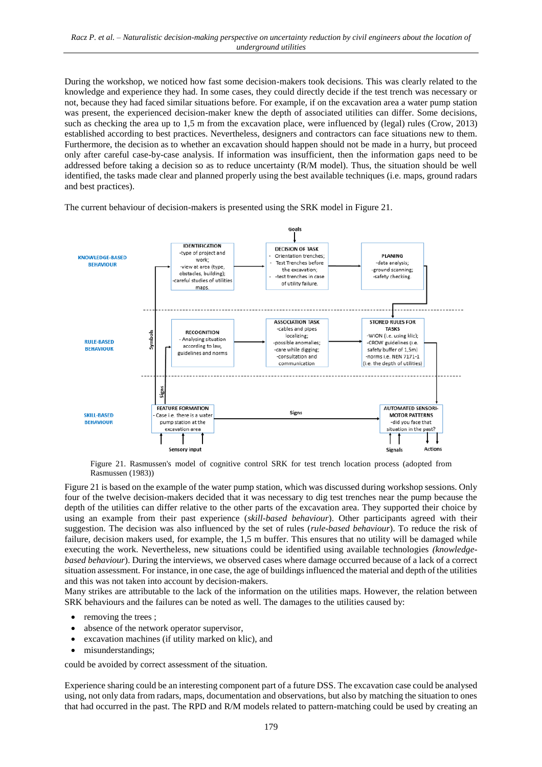During the workshop, we noticed how fast some decision-makers took decisions. This was clearly related to the knowledge and experience they had. In some cases, they could directly decide if the test trench was necessary or not, because they had faced similar situations before. For example, if on the excavation area a water pump station was present, the experienced decision-maker knew the depth of associated utilities can differ. Some decisions, such as checking the area up to 1,5 m from the excavation place, were influenced by (legal) rules (Crow, 2013) established according to best practices. Nevertheless, designers and contractors can face situations new to them. Furthermore, the decision as to whether an excavation should happen should not be made in a hurry, but proceed only after careful case-by-case analysis. If information was insufficient, then the information gaps need to be addressed before taking a decision so as to reduce uncertainty (R/M model). Thus, the situation should be well identified, the tasks made clear and planned properly using the best available techniques (i.e. maps, ground radars and best practices).

The current behaviour of decision-makers is presented using the SRK model i[n Figure 21.](#page-6-0)



Figure 21. Rasmussen's model of cognitive control SRK for test trench location process (adopted from Rasmussen (1983))

<span id="page-6-0"></span>[Figure 21](#page-6-0) is based on the example of the water pump station, which was discussed during workshop sessions. Only four of the twelve decision-makers decided that it was necessary to dig test trenches near the pump because the depth of the utilities can differ relative to the other parts of the excavation area. They supported their choice by using an example from their past experience (*skill-based behaviour*). Other participants agreed with their suggestion. The decision was also influenced by the set of rules (*rule-based behaviour*). To reduce the risk of failure, decision makers used, for example, the 1,5 m buffer. This ensures that no utility will be damaged while executing the work. Nevertheless, new situations could be identified using available technologies *(knowledgebased behaviour*). During the interviews, we observed cases where damage occurred because of a lack of a correct situation assessment. For instance, in one case, the age of buildings influenced the material and depth of the utilities and this was not taken into account by decision-makers.

Many strikes are attributable to the lack of the information on the utilities maps. However, the relation between SRK behaviours and the failures can be noted as well. The damages to the utilities caused by:

- removing the trees;
- absence of the network operator supervisor,
- excavation machines (if utility marked on klic), and
- misunderstandings;

could be avoided by correct assessment of the situation.

Experience sharing could be an interesting component part of a future DSS. The excavation case could be analysed using, not only data from radars, maps, documentation and observations, but also by matching the situation to ones that had occurred in the past. The RPD and R/M models related to pattern-matching could be used by creating an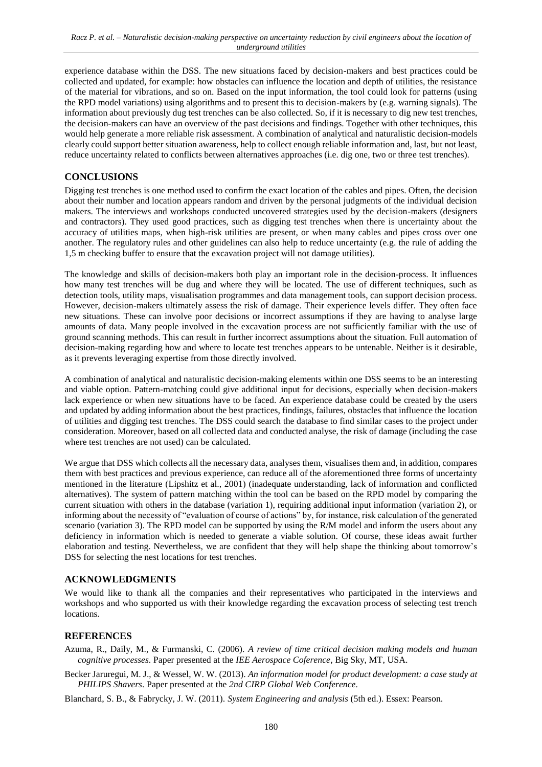experience database within the DSS. The new situations faced by decision-makers and best practices could be collected and updated, for example: how obstacles can influence the location and depth of utilities, the resistance of the material for vibrations, and so on. Based on the input information, the tool could look for patterns (using the RPD model variations) using algorithms and to present this to decision-makers by (e.g. warning signals). The information about previously dug test trenches can be also collected. So, if it is necessary to dig new test trenches, the decision-makers can have an overview of the past decisions and findings. Together with other techniques, this would help generate a more reliable risk assessment. A combination of analytical and naturalistic decision-models clearly could support better situation awareness, help to collect enough reliable information and, last, but not least, reduce uncertainty related to conflicts between alternatives approaches (i.e. dig one, two or three test trenches).

# **CONCLUSIONS**

Digging test trenches is one method used to confirm the exact location of the cables and pipes. Often, the decision about their number and location appears random and driven by the personal judgments of the individual decision makers. The interviews and workshops conducted uncovered strategies used by the decision-makers (designers and contractors). They used good practices, such as digging test trenches when there is uncertainty about the accuracy of utilities maps, when high-risk utilities are present, or when many cables and pipes cross over one another. The regulatory rules and other guidelines can also help to reduce uncertainty (e.g. the rule of adding the 1,5 m checking buffer to ensure that the excavation project will not damage utilities).

The knowledge and skills of decision-makers both play an important role in the decision-process. It influences how many test trenches will be dug and where they will be located. The use of different techniques, such as detection tools, utility maps, visualisation programmes and data management tools, can support decision process. However, decision-makers ultimately assess the risk of damage. Their experience levels differ. They often face new situations. These can involve poor decisions or incorrect assumptions if they are having to analyse large amounts of data. Many people involved in the excavation process are not sufficiently familiar with the use of ground scanning methods. This can result in further incorrect assumptions about the situation. Full automation of decision-making regarding how and where to locate test trenches appears to be untenable. Neither is it desirable, as it prevents leveraging expertise from those directly involved.

A combination of analytical and naturalistic decision-making elements within one DSS seems to be an interesting and viable option. Pattern-matching could give additional input for decisions, especially when decision-makers lack experience or when new situations have to be faced. An experience database could be created by the users and updated by adding information about the best practices, findings, failures, obstacles that influence the location of utilities and digging test trenches. The DSS could search the database to find similar cases to the project under consideration. Moreover, based on all collected data and conducted analyse, the risk of damage (including the case where test trenches are not used) can be calculated.

We argue that DSS which collects all the necessary data, analyses them, visualises them and, in addition, compares them with best practices and previous experience, can reduce all of the aforementioned three forms of uncertainty mentioned in the literature (Lipshitz et al., 2001) (inadequate understanding, lack of information and conflicted alternatives). The system of pattern matching within the tool can be based on the RPD model by comparing the current situation with others in the database (variation 1), requiring additional input information (variation 2), or informing about the necessity of "evaluation of course of actions" by, for instance, risk calculation of the generated scenario (variation 3). The RPD model can be supported by using the R/M model and inform the users about any deficiency in information which is needed to generate a viable solution. Of course, these ideas await further elaboration and testing. Nevertheless, we are confident that they will help shape the thinking about tomorrow's DSS for selecting the nest locations for test trenches.

### **ACKNOWLEDGMENTS**

We would like to thank all the companies and their representatives who participated in the interviews and workshops and who supported us with their knowledge regarding the excavation process of selecting test trench locations.

# **REFERENCES**

- Azuma, R., Daily, M., & Furmanski, C. (2006). *A review of time critical decision making models and human cognitive processes*. Paper presented at the *IEE Aerospace Coference*, Big Sky, MT, USA.
- Becker Jaruregui, M. J., & Wessel, W. W. (2013). *An information model for product development: a case study at PHILIPS Shavers*. Paper presented at the *2nd CIRP Global Web Conference*.

Blanchard, S. B., & Fabrycky, J. W. (2011). *System Engineering and analysis* (5th ed.). Essex: Pearson.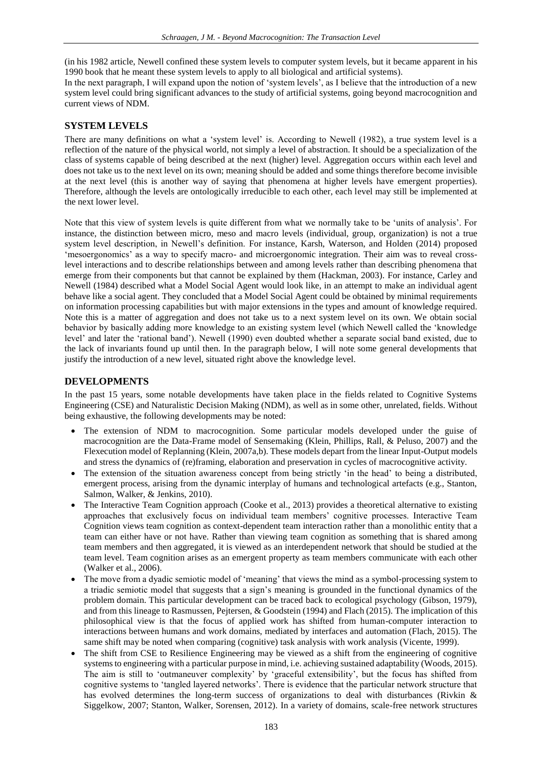(in his 1982 article, Newell confined these system levels to computer system levels, but it became apparent in his 1990 book that he meant these system levels to apply to all biological and artificial systems).

In the next paragraph, I will expand upon the notion of 'system levels', as I believe that the introduction of a new system level could bring significant advances to the study of artificial systems, going beyond macrocognition and current views of NDM.

#### **SYSTEM LEVELS**

There are many definitions on what a 'system level' is. According to Newell (1982), a true system level is a reflection of the nature of the physical world, not simply a level of abstraction. It should be a specialization of the class of systems capable of being described at the next (higher) level. Aggregation occurs within each level and does not take us to the next level on its own; meaning should be added and some things therefore become invisible at the next level (this is another way of saying that phenomena at higher levels have emergent properties). Therefore, although the levels are ontologically irreducible to each other, each level may still be implemented at the next lower level.

Note that this view of system levels is quite different from what we normally take to be 'units of analysis'. For instance, the distinction between micro, meso and macro levels (individual, group, organization) is not a true system level description, in Newell's definition. For instance, Karsh, Waterson, and Holden (2014) proposed 'mesoergonomics' as a way to specify macro- and microergonomic integration. Their aim was to reveal crosslevel interactions and to describe relationships between and among levels rather than describing phenomena that emerge from their components but that cannot be explained by them (Hackman, 2003). For instance, Carley and Newell (1984) described what a Model Social Agent would look like, in an attempt to make an individual agent behave like a social agent. They concluded that a Model Social Agent could be obtained by minimal requirements on information processing capabilities but with major extensions in the types and amount of knowledge required. Note this is a matter of aggregation and does not take us to a next system level on its own. We obtain social behavior by basically adding more knowledge to an existing system level (which Newell called the 'knowledge level' and later the 'rational band'). Newell (1990) even doubted whether a separate social band existed, due to the lack of invariants found up until then. In the paragraph below, I will note some general developments that justify the introduction of a new level, situated right above the knowledge level.

### **DEVELOPMENTS**

In the past 15 years, some notable developments have taken place in the fields related to Cognitive Systems Engineering (CSE) and Naturalistic Decision Making (NDM), as well as in some other, unrelated, fields. Without being exhaustive, the following developments may be noted:

- The extension of NDM to macrocognition. Some particular models developed under the guise of macrocognition are the Data-Frame model of Sensemaking (Klein, Phillips, Rall, & Peluso, 2007) and the Flexecution model of Replanning (Klein, 2007a,b). These models depart from the linear Input-Output models and stress the dynamics of (re)framing, elaboration and preservation in cycles of macrocognitive activity.
- The extension of the situation awareness concept from being strictly 'in the head' to being a distributed, emergent process, arising from the dynamic interplay of humans and technological artefacts (e.g., Stanton, Salmon, Walker, & Jenkins, 2010).
- The Interactive Team Cognition approach (Cooke et al., 2013) provides a theoretical alternative to existing approaches that exclusively focus on individual team members' cognitive processes. Interactive Team Cognition views team cognition as context-dependent team interaction rather than a monolithic entity that a team can either have or not have. Rather than viewing team cognition as something that is shared among team members and then aggregated, it is viewed as an interdependent network that should be studied at the team level. Team cognition arises as an emergent property as team members communicate with each other (Walker et al., 2006).
- The move from a dyadic semiotic model of 'meaning' that views the mind as a symbol-processing system to a triadic semiotic model that suggests that a sign's meaning is grounded in the functional dynamics of the problem domain. This particular development can be traced back to ecological psychology (Gibson, 1979), and from this lineage to Rasmussen, Pejtersen, & Goodstein (1994) and Flach (2015). The implication of this philosophical view is that the focus of applied work has shifted from human-computer interaction to interactions between humans and work domains, mediated by interfaces and automation (Flach, 2015). The same shift may be noted when comparing (cognitive) task analysis with work analysis (Vicente, 1999).
- The shift from CSE to Resilience Engineering may be viewed as a shift from the engineering of cognitive systems to engineering with a particular purpose in mind, i.e. achieving sustained adaptability (Woods, 2015). The aim is still to 'outmaneuver complexity' by 'graceful extensibility', but the focus has shifted from cognitive systems to 'tangled layered networks'. There is evidence that the particular network structure that has evolved determines the long-term success of organizations to deal with disturbances (Rivkin & Siggelkow, 2007; Stanton, Walker, Sorensen, 2012). In a variety of domains, scale-free network structures